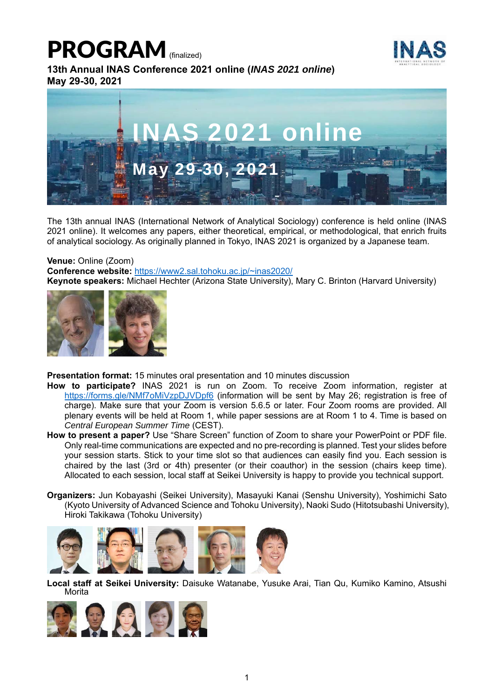# PROGRAM<sup>(finalized)</sup>



**13th Annual INAS Conference 2021 online (***INAS 2021 online***) May 29-30, 2021** 



The 13th annual INAS (International Network of Analytical Sociology) conference is held online (INAS 2021 online). It welcomes any papers, either theoretical, empirical, or methodological, that enrich fruits of analytical sociology. As originally planned in Tokyo, INAS 2021 is organized by a Japanese team.

#### **Venue:** Online (Zoom)

**Conference website:** https://www2.sal.tohoku.ac.jp/~inas2020/ **Keynote speakers:** Michael Hechter (Arizona State University), Mary C. Brinton (Harvard University)



**Presentation format:** 15 minutes oral presentation and 10 minutes discussion

- **How to participate?** INAS 2021 is run on Zoom. To receive Zoom information, register at https://forms.gle/NMf7oMiVzpDJVDpf6 (information will be sent by May 26; registration is free of charge). Make sure that your Zoom is version 5.6.5 or later. Four Zoom rooms are provided. All plenary events will be held at Room 1, while paper sessions are at Room 1 to 4. Time is based on *Central European Summer Time* (CEST).
- **How to present a paper?** Use "Share Screen" function of Zoom to share your PowerPoint or PDF file. Only real-time communications are expected and no pre-recording is planned. Test your slides before your session starts. Stick to your time slot so that audiences can easily find you. Each session is chaired by the last (3rd or 4th) presenter (or their coauthor) in the session (chairs keep time). Allocated to each session, local staff at Seikei University is happy to provide you technical support.
- **Organizers:** Jun Kobayashi (Seikei University), Masayuki Kanai (Senshu University), Yoshimichi Sato (Kyoto University of Advanced Science and Tohoku University), Naoki Sudo (Hitotsubashi University), Hiroki Takikawa (Tohoku University)



**Local staff at Seikei University:** Daisuke Watanabe, Yusuke Arai, Tian Qu, Kumiko Kamino, Atsushi Morita

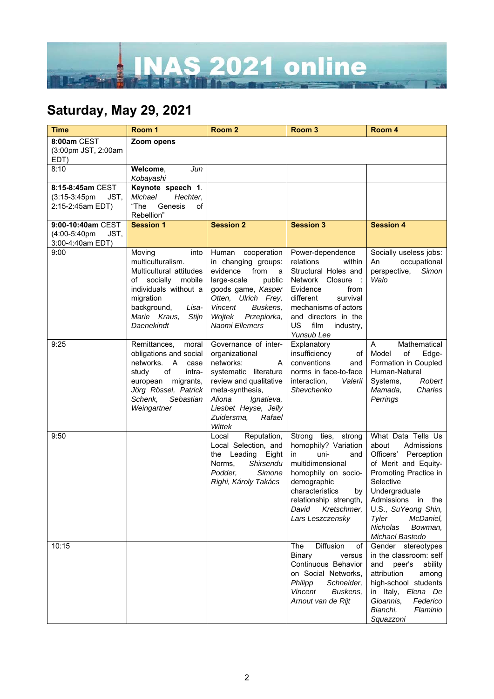

## **Saturday, May 29, 2021**

| <b>Time</b>                                                     | Room 1                                                                                                                                                                                       | Room <sub>2</sub>                                                                                                                                                                                                       | Room <sub>3</sub>                                                                                                                                                                                                                 | Room 4                                                                                                                                                                                                                                                          |
|-----------------------------------------------------------------|----------------------------------------------------------------------------------------------------------------------------------------------------------------------------------------------|-------------------------------------------------------------------------------------------------------------------------------------------------------------------------------------------------------------------------|-----------------------------------------------------------------------------------------------------------------------------------------------------------------------------------------------------------------------------------|-----------------------------------------------------------------------------------------------------------------------------------------------------------------------------------------------------------------------------------------------------------------|
| 8:00am CEST<br>(3:00pm JST, 2:00am<br>EDT)                      | Zoom opens                                                                                                                                                                                   |                                                                                                                                                                                                                         |                                                                                                                                                                                                                                   |                                                                                                                                                                                                                                                                 |
| 8:10                                                            | Welcome,<br>Jun<br>Kobayashi                                                                                                                                                                 |                                                                                                                                                                                                                         |                                                                                                                                                                                                                                   |                                                                                                                                                                                                                                                                 |
| 8:15-8:45am CEST<br>JST,<br>$(3:15-3:45pm)$<br>2:15-2:45am EDT) | Keynote speech 1.<br>Michael<br>Hechter,<br>"The<br>Genesis<br>of<br>Rebellion"                                                                                                              |                                                                                                                                                                                                                         |                                                                                                                                                                                                                                   |                                                                                                                                                                                                                                                                 |
| 9:00-10:40am CEST<br>(4:00-5:40pm<br>JST.<br>3:00-4:40am EDT)   | <b>Session 1</b>                                                                                                                                                                             | <b>Session 2</b>                                                                                                                                                                                                        | <b>Session 3</b>                                                                                                                                                                                                                  | <b>Session 4</b>                                                                                                                                                                                                                                                |
| 9:00                                                            | Moving<br>into<br>multiculturalism.<br>Multicultural attitudes<br>of socially<br>mobile<br>individuals without a<br>migration<br>background,<br>Lisa-<br>Marie Kraus,<br>Stijn<br>Daenekindt | cooperation<br>Human<br>in changing groups:<br>evidence from<br>a<br>large-scale<br>public<br>goods game, Kasper<br>Otten, Ulrich Frey,<br><b>Vincent</b><br>Buskens,<br>Przepiorka,<br>Woitek<br>Naomi Ellemers        | Power-dependence<br>relations<br>within<br>Structural Holes and<br>Network Closure :<br>Evidence<br>from<br>different<br>survival<br>mechanisms of actors<br>and directors in the<br><b>US</b><br>film<br>industry,<br>Yunsub Lee | Socially useless jobs:<br>occupational<br>An<br>perspective,<br>Simon<br>Walo                                                                                                                                                                                   |
| 9:25                                                            | Remittances,<br>moral<br>obligations and social<br>networks.<br>A<br>case<br>study<br>of<br>intra-<br>european<br>migrants,<br>Jörg Rössel, Patrick<br>Schenk,<br>Sebastian<br>Weingartner   | Governance of inter-<br>organizational<br>networks:<br>A<br>systematic literature<br>review and qualitative<br>meta-synthesis,<br>Aliona<br>Ignatieva,<br>Liesbet Heyse, Jelly<br>Rafael<br>Zuidersma,<br><b>Wittek</b> | Explanatory<br>insufficiency<br>оf<br>conventions<br>and<br>norms in face-to-face<br>interaction,<br>Valerii<br>Shevchenko                                                                                                        | Mathematical<br>A<br>Model<br>of<br>Edge-<br>Formation in Coupled<br>Human-Natural<br>Systems,<br>Robert<br>Mamada,<br>Charles<br>Perrings                                                                                                                      |
| 9:50                                                            |                                                                                                                                                                                              | Reputation,<br>Local<br>Local Selection, and<br>Eight<br>the<br>Leading<br>Shirsendu<br>Norms,<br>Simone<br>Podder,<br>Righi, Károly Takács                                                                             | Strong ties, strong<br>homophily? Variation<br>uni-<br>in.<br>and<br>multidimensional<br>homophily on socio-<br>demographic<br>characteristics<br>by<br>relationship strength,<br>Kretschmer,<br>David<br>Lars Leszczensky        | What Data Tells Us<br>about<br>Admissions<br>Officers'<br>Perception<br>of Merit and Equity-<br>Promoting Practice in<br>Selective<br>Undergraduate<br>Admissions in the<br>U.S., SuYeong Shin,<br>Tyler<br>McDaniel,<br>Nicholas<br>Bowman,<br>Michael Bastedo |
| 10:15                                                           |                                                                                                                                                                                              |                                                                                                                                                                                                                         | Diffusion<br>The<br>of<br>Binary<br>versus<br>Continuous Behavior<br>on Social Networks,<br>Philipp<br>Schneider,<br><b>Vincent</b><br>Buskens,<br>Arnout van de Rijt                                                             | Gender stereotypes<br>in the classroom: self<br>and<br>peer's<br>ability<br>attribution<br>among<br>high-school students<br>in Italy, Elena De<br>Gioannis,<br>Federico<br>Bianchi,<br>Flaminio<br>Squazzoni                                                    |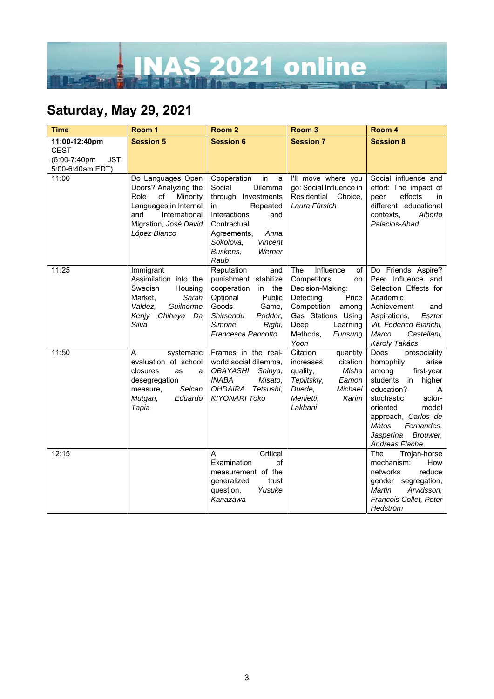

## **Saturday, May 29, 2021**

| Time                                                                     | Room 1                                                                                                                                                        | Room <sub>2</sub>                                                                                                                                                                                              | Room <sub>3</sub>                                                                                                                                                                      | Room 4                                                                                                                                                                                                                                                               |
|--------------------------------------------------------------------------|---------------------------------------------------------------------------------------------------------------------------------------------------------------|----------------------------------------------------------------------------------------------------------------------------------------------------------------------------------------------------------------|----------------------------------------------------------------------------------------------------------------------------------------------------------------------------------------|----------------------------------------------------------------------------------------------------------------------------------------------------------------------------------------------------------------------------------------------------------------------|
| 11:00-12:40pm<br><b>CEST</b><br>(6:00-7:40pm<br>JST,<br>5:00-6:40am EDT) | <b>Session 5</b>                                                                                                                                              | <b>Session 6</b>                                                                                                                                                                                               | <b>Session 7</b>                                                                                                                                                                       | <b>Session 8</b>                                                                                                                                                                                                                                                     |
| 11:00                                                                    | Do Languages Open<br>Doors? Analyzing the<br>of<br>Minority<br>Role<br>Languages in Internal<br>and<br>International<br>Migration, José David<br>López Blanco | Cooperation<br>in<br>a<br>Social<br><b>Dilemma</b><br>through Investments<br>Repeated<br>in<br>Interactions<br>and<br>Contractual<br>Anna<br>Agreements,<br>Vincent<br>Sokolova,<br>Buskens.<br>Werner<br>Raub | I'll move where you<br>go: Social Influence in<br>Residential<br>Choice,<br>Laura Fürsich                                                                                              | Social influence and<br>effort: The impact of<br>effects<br>peer<br>in.<br>different educational<br>Alberto<br>contexts,<br>Palacios-Abad                                                                                                                            |
| 11:25                                                                    | Immigrant<br>Assimilation into the<br>Swedish<br>Housing<br>Sarah<br>Market,<br>Guilherme<br>Valdez,<br>Kenjy Chihaya<br>Da<br>Silva                          | Reputation<br>and<br>punishment stabilize<br>cooperation<br>in the<br>Optional<br>Public<br>Goods<br>Game,<br>Shirsendu<br>Podder,<br>Simone<br>Righi,<br>Francesca Pancotto                                   | Influence<br>The<br>of<br>Competitors<br>on<br>Decision-Making:<br>Detecting<br>Price<br>Competition<br>among<br>Gas Stations Using<br>Deep<br>Learning<br>Methods,<br>Eunsung<br>Yoon | Do Friends Aspire?<br>Peer Influence and<br>Selection Effects for<br>Academic<br>Achievement<br>and<br>Aspirations,<br>Eszter<br>Vit, Federico Bianchi,<br>Marco<br>Castellani,<br>Károly Takács                                                                     |
| 11:50                                                                    | systematic<br>A<br>evaluation of school<br>closures<br>as<br>a<br>desegregation<br>Selcan<br>measure,<br>Mutgan,<br>Eduardo<br>Tapia                          | Frames in the real-<br>world social dilemma,<br>OBAYASHI<br>Shinya,<br><b>INABA</b><br>Misato,<br><b>OHDAIRA</b><br>Tetsushi,<br><b>KIYONARI Toko</b>                                                          | Citation<br>quantity<br>citation<br>increases<br>quality,<br>Misha<br>Teplitskiy,<br>Eamon<br>Duede,<br>Michael<br>Menietti,<br>Karim<br>Lakhani                                       | prosociality<br>Does<br>arise<br>homophily<br>first-year<br>among<br>students<br>higher<br>in<br>education?<br>A<br>stochastic<br>actor-<br>oriented<br>model<br>approach, Carlos de<br><b>Matos</b><br>Fernandes,<br>Brouwer,<br>Jasperina<br><b>Andreas Flache</b> |
| 12:15                                                                    |                                                                                                                                                               | A<br>Critical<br>Examination<br>of<br>measurement of the<br>generalized<br>trust<br>question,<br>Yusuke<br>Kanazawa                                                                                            |                                                                                                                                                                                        | The<br>Trojan-horse<br>mechanism:<br>How<br>reduce<br>networks<br>gender segregation,<br>Martin<br>Arvidsson,<br>Francois Collet, Peter<br>Hedström                                                                                                                  |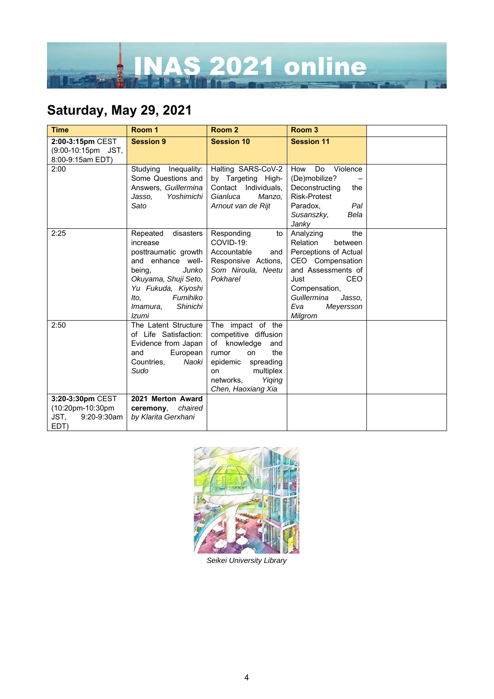

## **Saturday, May 29, 2021**

| <b>Time</b>                                                         | Room 1                                                                                                                                                                                               | Room <sub>2</sub>                                                                                                                                                             | Room <sub>3</sub>                                                                                                                                                                                         |  |
|---------------------------------------------------------------------|------------------------------------------------------------------------------------------------------------------------------------------------------------------------------------------------------|-------------------------------------------------------------------------------------------------------------------------------------------------------------------------------|-----------------------------------------------------------------------------------------------------------------------------------------------------------------------------------------------------------|--|
| 2:00-3:15pm CEST<br>(9:00-10:15pm JST,<br>8:00-9:15am EDT)          | <b>Session 9</b>                                                                                                                                                                                     | <b>Session 10</b>                                                                                                                                                             | <b>Session 11</b>                                                                                                                                                                                         |  |
| 2:00                                                                | Studying<br>Inequality:<br>Some Questions and<br>Answers, Guillermina<br>Yoshimichi<br>Jasso.<br>Sato                                                                                                | Halting SARS-CoV-2<br>by Targeting High-<br>Contact Individuals,<br>Gianluca<br>Manzo.<br>Arnout van de Rijt                                                                  | Violence<br>How<br>Do<br>(De)mobilize?<br>Deconstructing<br>the<br><b>Risk-Protest</b><br>Paradox,<br>Pal<br>Susanszky,<br>Bela<br>Janky                                                                  |  |
| 2:25                                                                | Repeated<br>disasters<br>increase<br>posttraumatic growth<br>and enhance well-<br>being,<br>Junko<br>Okuyama, Shuji Seto,<br>Yu Fukuda, Kiyoshi<br>Fumihiko<br>lto.<br>Shinichi<br>Imamura,<br>Izumi | Responding<br>to<br>COVID-19:<br>Accountable<br>and<br>Responsive Actions,<br>Som Niroula, Neetu<br>Pokharel                                                                  | the<br>Analyzing<br>Relation<br>between<br>Perceptions of Actual<br>CEO Compensation<br>and Assessments of<br><b>CEO</b><br>Just<br>Compensation,<br>Guillermina<br>Jasso.<br>Eva<br>Meyersson<br>Milgrom |  |
| 2:50                                                                | The Latent Structure<br>of Life Satisfaction:<br>Evidence from Japan<br>European<br>and<br>Countries.<br>Naoki<br>Sudo                                                                               | The impact of the<br>competitive diffusion<br>of knowledge<br>and<br>rumor<br>on<br>the<br>epidemic spreading<br>multiplex<br>on<br>Yiqing<br>networks,<br>Chen, Haoxiang Xia |                                                                                                                                                                                                           |  |
| 3:20-3:30pm CEST<br>(10:20pm-10:30pm<br>JST,<br>9:20-9:30am<br>EDT) | 2021 Merton Award<br>chaired<br>ceremony.<br>by Klarita Gerxhani                                                                                                                                     |                                                                                                                                                                               |                                                                                                                                                                                                           |  |



*Seikei University Library*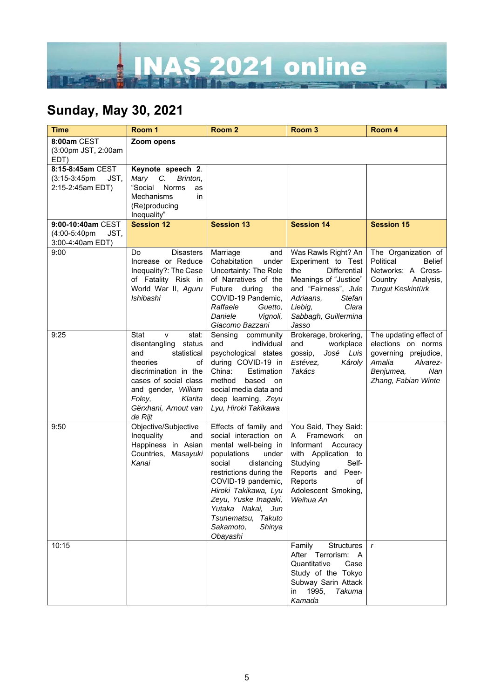

## **Sunday, May 30, 2021**

| <b>Time</b>                                                      | Room 1                                                                                                                                                                                                                 | Room <sub>2</sub>                                                                                                                                                                                                                                                                                     | Room <sub>3</sub>                                                                                                                                                                                           | Room 4                                                                                                                                |
|------------------------------------------------------------------|------------------------------------------------------------------------------------------------------------------------------------------------------------------------------------------------------------------------|-------------------------------------------------------------------------------------------------------------------------------------------------------------------------------------------------------------------------------------------------------------------------------------------------------|-------------------------------------------------------------------------------------------------------------------------------------------------------------------------------------------------------------|---------------------------------------------------------------------------------------------------------------------------------------|
| 8:00am CEST<br>(3:00pm JST, 2:00am<br>EDT)                       | Zoom opens                                                                                                                                                                                                             |                                                                                                                                                                                                                                                                                                       |                                                                                                                                                                                                             |                                                                                                                                       |
| 8:15-8:45am CEST<br>$(3:15-3:45pm)$<br>JST,<br>2:15-2:45am EDT)  | Keynote speech 2.<br>Mary C. Brinton,<br>"Social<br><b>Norms</b><br>as<br>Mechanisms<br>in<br>(Re)producing<br>Inequality"                                                                                             |                                                                                                                                                                                                                                                                                                       |                                                                                                                                                                                                             |                                                                                                                                       |
| 9:00-10:40am CEST<br>$(4:00-5:40$ pm<br>JST.<br>3:00-4:40am EDT) | <b>Session 12</b>                                                                                                                                                                                                      | <b>Session 13</b>                                                                                                                                                                                                                                                                                     | <b>Session 14</b>                                                                                                                                                                                           | <b>Session 15</b>                                                                                                                     |
| 9:00                                                             | <b>Disasters</b><br>Do<br>Increase or Reduce<br>Inequality?: The Case<br>of Fatality Risk in<br>World War II, Aguru<br>Ishibashi                                                                                       | Marriage<br>and<br>Cohabitation<br>under<br>Uncertainty: The Role<br>of Narratives of the<br>Future during<br>the<br>COVID-19 Pandemic,<br>Raffaele<br>Guetto,<br>Daniele<br>Vignoli,<br>Giacomo Bazzani                                                                                              | Was Rawls Right? An<br>Experiment to Test<br><b>Differential</b><br>the<br>Meanings of "Justice"<br>and "Fairness", Jule<br>Adriaans,<br><b>Stefan</b><br>Liebig,<br>Clara<br>Sabbagh, Guillermina<br>Jasso | The Organization of<br>Political<br>Belief<br>Networks: A Cross-<br>Country<br>Analysis,<br><b>Turgut Keskintürk</b>                  |
| 9:25                                                             | Stat<br>stat:<br>v<br>disentangling<br>status<br>statistical<br>and<br>theories<br>of<br>discrimination in the<br>cases of social class<br>and gender, William<br>Foley,<br>Klarita<br>Gërxhani, Arnout van<br>de Rijt | Sensing<br>community<br>and<br>individual<br>psychological states<br>during COVID-19 in<br>China:<br>Estimation<br>method<br>based<br>on<br>social media data and<br>deep learning, Zeyu<br>Lyu, Hiroki Takikawa                                                                                      | Brokerage, brokering,<br>and<br>workplace<br>José Luis<br>gossip,<br>Estévez,<br>Károly<br>Takács                                                                                                           | The updating effect of<br>elections on norms<br>governing prejudice,<br>Amalia<br>Alvarez-<br>Nan<br>Benjumea,<br>Zhang, Fabian Winte |
| 9:50                                                             | Objective/Subjective<br>Inequality<br>and<br>Happiness in Asian<br>Countries, Masayuki<br>Kanai                                                                                                                        | Effects of family and<br>social interaction on<br>mental well-being in<br>populations<br>under<br>social<br>distancing<br>restrictions during the<br>COVID-19 pandemic,<br>Hiroki Takikawa, Lyu<br>Zeyu, Yuske Inagaki,<br>Yutaka Nakai, Jun<br>Tsunematsu, Takuto<br>Sakamoto,<br>Shinya<br>Obayashi | You Said, They Said:<br>$\mathsf{A}$<br>Framework<br>on<br>Informant Accuracy<br>with Application to<br>Studying<br>Self-<br>Reports and Peer-<br>Reports<br>of<br>Adolescent Smoking,<br>Weihua An         |                                                                                                                                       |
| 10:15                                                            |                                                                                                                                                                                                                        |                                                                                                                                                                                                                                                                                                       | Structures<br>Family<br>After Terrorism: A<br>Quantitative<br>Case<br>Study of the Tokyo<br>Subway Sarin Attack<br>1995,<br><b>Takuma</b><br>in<br>Kamada                                                   | $\mathbf{r}$                                                                                                                          |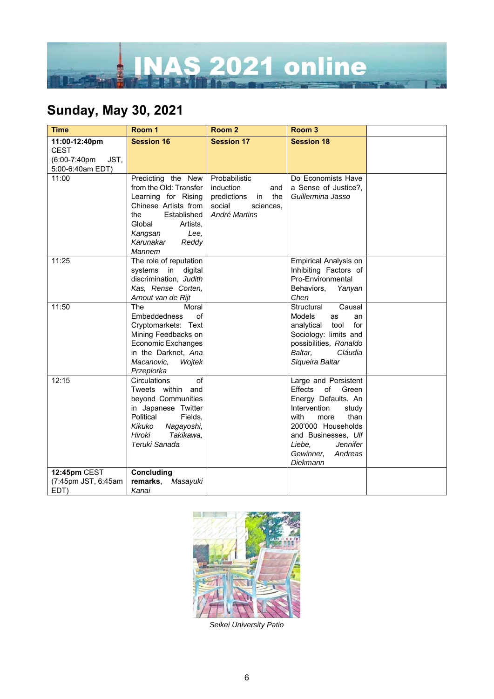

## **Sunday, May 30, 2021**

| <b>Time</b>          | Room 1                           | Room <sub>2</sub>        | Room <sub>3</sub>             |  |
|----------------------|----------------------------------|--------------------------|-------------------------------|--|
| 11:00-12:40pm        | <b>Session 16</b>                | <b>Session 17</b>        | <b>Session 18</b>             |  |
| <b>CEST</b>          |                                  |                          |                               |  |
| (6:00-7:40pm<br>JST, |                                  |                          |                               |  |
| 5:00-6:40am EDT)     |                                  |                          |                               |  |
| 11:00                | Predicting the New               | Probabilistic            | Do Economists Have            |  |
|                      | from the Old: Transfer           | <i>induction</i><br>and  | a Sense of Justice?.          |  |
|                      | Learning for Rising              | predictions<br>in<br>the | Guillermina Jasso             |  |
|                      | Chinese Artists from             | social<br>sciences,      |                               |  |
|                      | Established<br>the               | André Martins            |                               |  |
|                      | Global<br>Artists,               |                          |                               |  |
|                      | Kangsan<br>Lee,<br>Karunakar     |                          |                               |  |
|                      | Reddy<br>Mannem                  |                          |                               |  |
| 11:25                | The role of reputation           |                          | <b>Empirical Analysis on</b>  |  |
|                      | systems in<br>digital            |                          | Inhibiting Factors of         |  |
|                      | discrimination, Judith           |                          | Pro-Environmental             |  |
|                      | Kas, Rense Corten,               |                          | Behaviors,<br>Yanyan          |  |
|                      | Arnout van de Rijt               |                          | Chen                          |  |
| 11:50                | <b>The</b><br>Moral              |                          | Causal<br>Structural          |  |
|                      | of<br><b>Embeddedness</b>        |                          | Models<br>as<br>an            |  |
|                      | Cryptomarkets: Text              |                          | for<br>analytical<br>tool     |  |
|                      | Mining Feedbacks on              |                          | Sociology: limits and         |  |
|                      | Economic Exchanges               |                          | possibilities, Ronaldo        |  |
|                      | in the Darknet, Ana              |                          | Baltar,<br>Cláudia            |  |
|                      | Macanovic,<br>Wojtek             |                          | Siqueira Baltar               |  |
| 12:15                | Przepiorka<br>Circulations<br>of |                          | Large and Persistent          |  |
|                      | Tweets within<br>and             |                          | <b>Effects</b><br>of<br>Green |  |
|                      | beyond Communities               |                          | Energy Defaults. An           |  |
|                      | in Japanese Twitter              |                          | Intervention<br>study         |  |
|                      | Political<br>Fields,             |                          | with<br>than<br>more          |  |
|                      | Kikuko<br>Nagayoshi,             |                          | 200'000 Households            |  |
|                      | Hiroki<br>Takikawa.              |                          | and Businesses, Ulf           |  |
|                      | Teruki Sanada                    |                          | Jennifer<br>Liebe.            |  |
|                      |                                  |                          | Gewinner,<br>Andreas          |  |
|                      |                                  |                          | Diekmann                      |  |
| 12:45pm CEST         | Concluding                       |                          |                               |  |
| (7:45pm JST, 6:45am  | remarks,<br>Masayuki             |                          |                               |  |
| EDT)                 | Kanai                            |                          |                               |  |



*Seikei University Patio*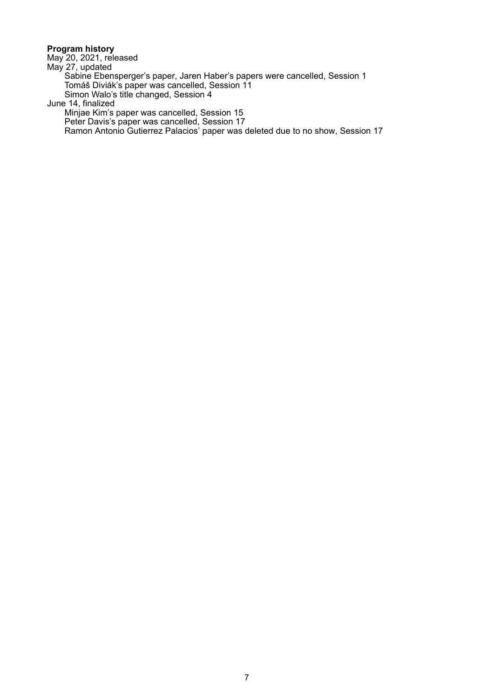#### **Program history**

May 20, 2021, released

May 27, updated

Sabine Ebensperger's paper, Jaren Haber's papers were cancelled, Session 1 Tomáš Diviák's paper was cancelled, Session 11 Simon Walo's title changed, Session 4

June 14, finalized

Minjae Kim's paper was cancelled, Session 15

Peter Davis's paper was cancelled, Session 17

Ramon Antonio Gutierrez Palacios' paper was deleted due to no show, Session 17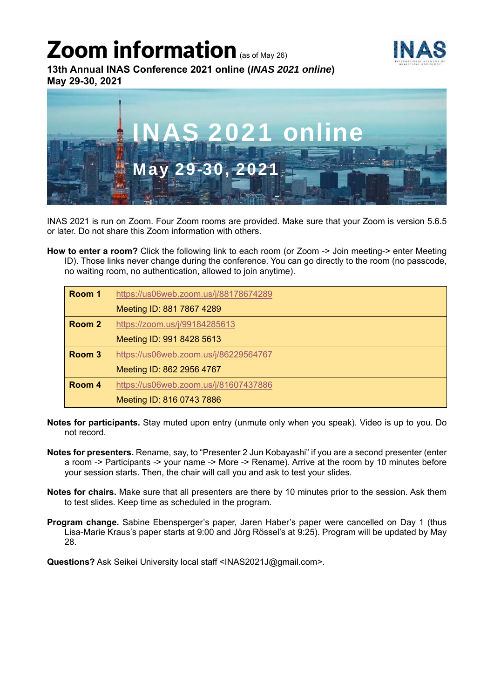# Zoom information (as of May 26)



**13th Annual INAS Conference 2021 online (***INAS 2021 online***) May 29-30, 2021** 



INAS 2021 is run on Zoom. Four Zoom rooms are provided. Make sure that your Zoom is version 5.6.5 or later. Do not share this Zoom information with others.

**How to enter a room?** Click the following link to each room (or Zoom -> Join meeting-> enter Meeting ID). Those links never change during the conference. You can go directly to the room (no passcode, no waiting room, no authentication, allowed to join anytime).

| Room 1 | https://us06web.zoom.us/j/88178674289 |
|--------|---------------------------------------|
|        | Meeting ID: 881 7867 4289             |
| Room 2 | https://zoom.us/j/99184285613         |
|        | Meeting ID: 991 8428 5613             |
| Room 3 | https://us06web.zoom.us/j/86229564767 |
|        | Meeting ID: 862 2956 4767             |
| Room 4 | https://us06web.zoom.us/j/81607437886 |
|        | Meeting ID: 816 0743 7886             |

- **Notes for participants.** Stay muted upon entry (unmute only when you speak). Video is up to you. Do not record.
- **Notes for presenters.** Rename, say, to "Presenter 2 Jun Kobayashi" if you are a second presenter (enter a room -> Participants -> your name -> More -> Rename). Arrive at the room by 10 minutes before your session starts. Then, the chair will call you and ask to test your slides.
- **Notes for chairs.** Make sure that all presenters are there by 10 minutes prior to the session. Ask them to test slides. Keep time as scheduled in the program.
- **Program change.** Sabine Ebensperger's paper, Jaren Haber's paper were cancelled on Day 1 (thus Lisa-Marie Kraus's paper starts at 9:00 and Jörg Rössel's at 9:25). Program will be updated by May 28.

**Questions?** Ask Seikei University local staff <INAS2021J@gmail.com>.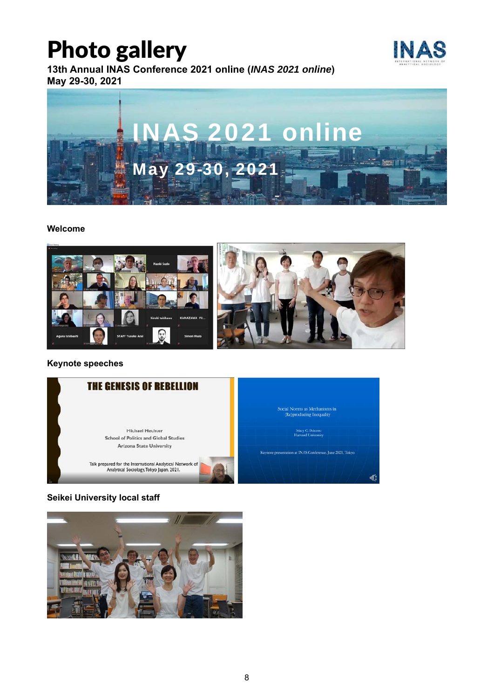# Photo gallery

**13th Annual INAS Conference 2021 online (***INAS 2021 online***) May 29-30, 2021** 





#### **Welcome**



#### **Keynote speeches**



#### **Seikei University local staff**